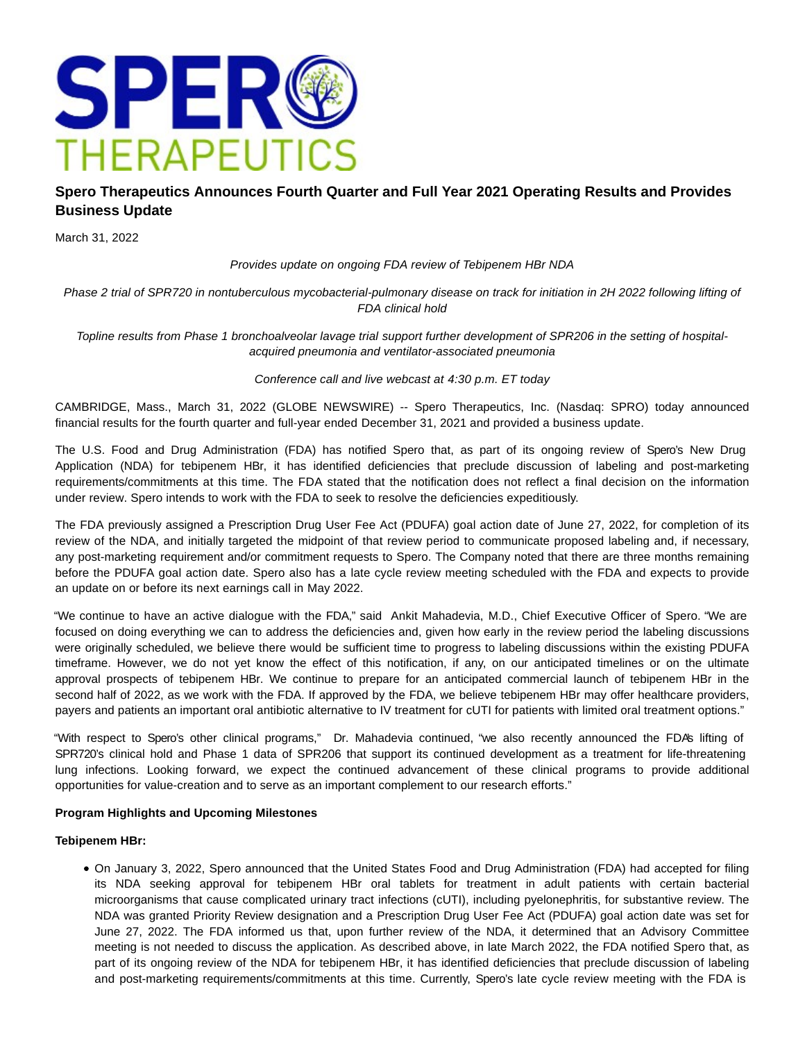

## **Spero Therapeutics Announces Fourth Quarter and Full Year 2021 Operating Results and Provides Business Update**

March 31, 2022

Provides update on ongoing FDA review of Tebipenem HBr NDA

Phase 2 trial of SPR720 in nontuberculous mycobacterial-pulmonary disease on track for initiation in 2H 2022 following lifting of FDA clinical hold

Topline results from Phase 1 bronchoalveolar lavage trial support further development of SPR206 in the setting of hospitalacquired pneumonia and ventilator-associated pneumonia

#### Conference call and live webcast at 4:30 p.m. ET today

CAMBRIDGE, Mass., March 31, 2022 (GLOBE NEWSWIRE) -- Spero Therapeutics, Inc. (Nasdaq: SPRO) today announced financial results for the fourth quarter and full-year ended December 31, 2021 and provided a business update.

The U.S. Food and Drug Administration (FDA) has notified Spero that, as part of its ongoing review of Spero's New Drug Application (NDA) for tebipenem HBr, it has identified deficiencies that preclude discussion of labeling and post-marketing requirements/commitments at this time. The FDA stated that the notification does not reflect a final decision on the information under review. Spero intends to work with the FDA to seek to resolve the deficiencies expeditiously.

The FDA previously assigned a Prescription Drug User Fee Act (PDUFA) goal action date of June 27, 2022, for completion of its review of the NDA, and initially targeted the midpoint of that review period to communicate proposed labeling and, if necessary, any post-marketing requirement and/or commitment requests to Spero. The Company noted that there are three months remaining before the PDUFA goal action date. Spero also has a late cycle review meeting scheduled with the FDA and expects to provide an update on or before its next earnings call in May 2022.

"We continue to have an active dialogue with the FDA," said Ankit Mahadevia, M.D., Chief Executive Officer of Spero. "We are focused on doing everything we can to address the deficiencies and, given how early in the review period the labeling discussions were originally scheduled, we believe there would be sufficient time to progress to labeling discussions within the existing PDUFA timeframe. However, we do not yet know the effect of this notification, if any, on our anticipated timelines or on the ultimate approval prospects of tebipenem HBr. We continue to prepare for an anticipated commercial launch of tebipenem HBr in the second half of 2022, as we work with the FDA. If approved by the FDA, we believe tebipenem HBr may offer healthcare providers, payers and patients an important oral antibiotic alternative to IV treatment for cUTI for patients with limited oral treatment options."

"With respect to Spero's other clinical programs," Dr. Mahadevia continued, "we also recently announced the FDA's lifting of SPR720's clinical hold and Phase 1 data of SPR206 that support its continued development as a treatment for life-threatening lung infections. Looking forward, we expect the continued advancement of these clinical programs to provide additional opportunities for value-creation and to serve as an important complement to our research efforts."

#### **Program Highlights and Upcoming Milestones**

#### **Tebipenem HBr:**

On January 3, 2022, Spero announced that the United States Food and Drug Administration (FDA) had accepted for filing its NDA seeking approval for tebipenem HBr oral tablets for treatment in adult patients with certain bacterial microorganisms that cause complicated urinary tract infections (cUTI), including pyelonephritis, for substantive review. The NDA was granted Priority Review designation and a Prescription Drug User Fee Act (PDUFA) goal action date was set for June 27, 2022. The FDA informed us that, upon further review of the NDA, it determined that an Advisory Committee meeting is not needed to discuss the application. As described above, in late March 2022, the FDA notified Spero that, as part of its ongoing review of the NDA for tebipenem HBr, it has identified deficiencies that preclude discussion of labeling and post-marketing requirements/commitments at this time. Currently, Spero's late cycle review meeting with the FDA is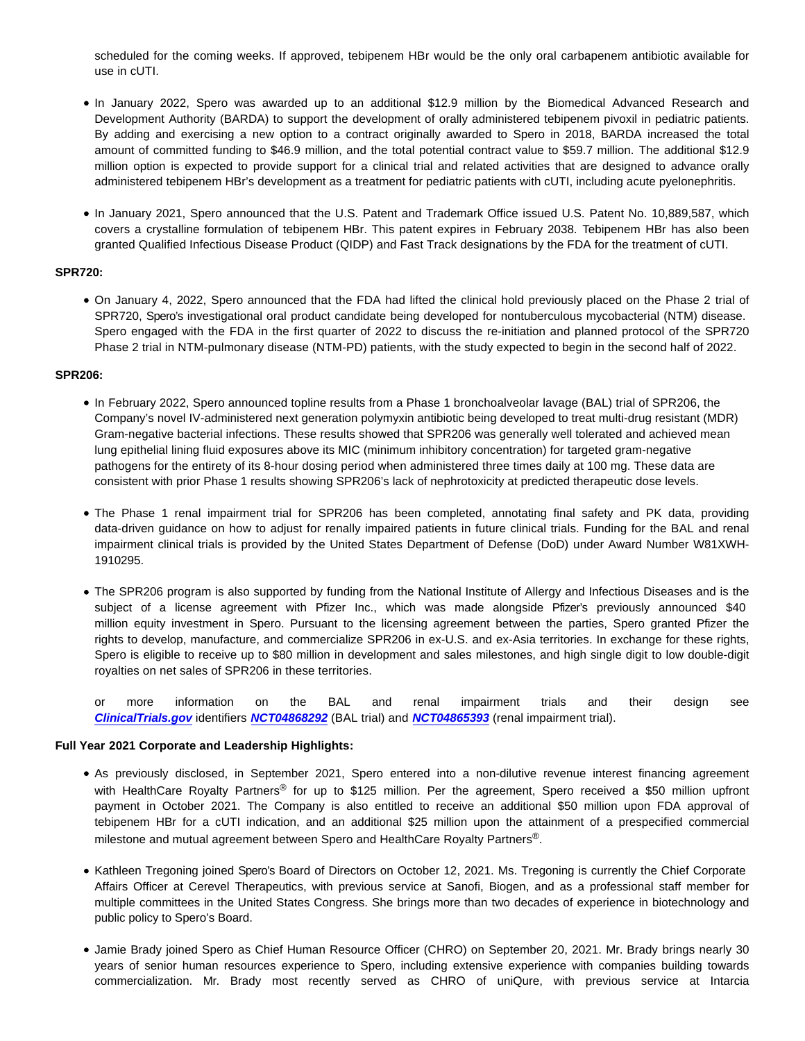scheduled for the coming weeks. If approved, tebipenem HBr would be the only oral carbapenem antibiotic available for use in cUTI.

- In January 2022, Spero was awarded up to an additional \$12.9 million by the Biomedical Advanced Research and Development Authority (BARDA) to support the development of orally administered tebipenem pivoxil in pediatric patients. By adding and exercising a new option to a contract originally awarded to Spero in 2018, BARDA increased the total amount of committed funding to \$46.9 million, and the total potential contract value to \$59.7 million. The additional \$12.9 million option is expected to provide support for a clinical trial and related activities that are designed to advance orally administered tebipenem HBr's development as a treatment for pediatric patients with cUTI, including acute pyelonephritis.
- In January 2021, Spero announced that the U.S. Patent and Trademark Office issued U.S. Patent No. 10,889,587, which covers a crystalline formulation of tebipenem HBr. This patent expires in February 2038. Tebipenem HBr has also been granted Qualified Infectious Disease Product (QIDP) and Fast Track designations by the FDA for the treatment of cUTI.

#### **SPR720:**

On January 4, 2022, Spero announced that the FDA had lifted the clinical hold previously placed on the Phase 2 trial of SPR720, Spero's investigational oral product candidate being developed for nontuberculous mycobacterial (NTM) disease. Spero engaged with the FDA in the first quarter of 2022 to discuss the re-initiation and planned protocol of the SPR720 Phase 2 trial in NTM-pulmonary disease (NTM-PD) patients, with the study expected to begin in the second half of 2022.

#### **SPR206:**

- In February 2022, Spero announced topline results from a Phase 1 bronchoalveolar lavage (BAL) trial of SPR206, the Company's novel IV-administered next generation polymyxin antibiotic being developed to treat multi-drug resistant (MDR) Gram-negative bacterial infections. These results showed that SPR206 was generally well tolerated and achieved mean lung epithelial lining fluid exposures above its MIC (minimum inhibitory concentration) for targeted gram-negative pathogens for the entirety of its 8-hour dosing period when administered three times daily at 100 mg. These data are consistent with prior Phase 1 results showing SPR206's lack of nephrotoxicity at predicted therapeutic dose levels.
- The Phase 1 renal impairment trial for SPR206 has been completed, annotating final safety and PK data, providing data-driven guidance on how to adjust for renally impaired patients in future clinical trials. Funding for the BAL and renal impairment clinical trials is provided by the United States Department of Defense (DoD) under Award Number W81XWH-1910295.
- The SPR206 program is also supported by funding from the National Institute of Allergy and Infectious Diseases and is the subject of a license agreement with Pfizer Inc., which was made alongside Pfizer's previously announced \$40 million equity investment in Spero. Pursuant to the licensing agreement between the parties, Spero granted Pfizer the rights to develop, manufacture, and commercialize SPR206 in ex-U.S. and ex-Asia territories. In exchange for these rights, Spero is eligible to receive up to \$80 million in development and sales milestones, and high single digit to low double-digit royalties on net sales of SPR206 in these territories.

or more information on the BAL and renal impairment trials and their design see **[ClinicalTrials.gov](https://www.globenewswire.com/Tracker?data=TSW09EdU0u5FU7d_xiGGIWMHNmdAvBP1XcZmbK_44ADqVFsgoA4yn2XSwgXqHl7kCUuu2Fw43rZY3mfu0vslowk2W6Gt_U7j66FkBjMwkFg=)** identifiers **[NCT04868292](https://www.globenewswire.com/Tracker?data=7kQNWolEyfFpiha5vaDCtrNSYvN39dGxNVA7p1iMzSPAM-DRLL6Z_c8MnmN6ZDxCHdfBHYB4zOSjLeEvdiTYZo3mBh-eCbhH-lJtEAaECk4WG697lehgtxBU2qJvZMCvszsnOhtiy9_jLbYZVVQLog==)** (BAL trial) and **[NCT04865393](https://www.globenewswire.com/Tracker?data=7kQNWolEyfFpiha5vaDCtuHS4lY-qPvoQ2RjBCwB-7uLt7CibA4VH8WVmog7V-d86JCfPA5nLWhw7ftTAQL9hrDz2_HBdp96nf0Rw3Bt_D9gFrfNeY_X7utSW50O9cni0B55EIr-DDKaq9cJ-BmJmA==)** (renal impairment trial).

#### **Full Year 2021 Corporate and Leadership Highlights:**

- As previously disclosed, in September 2021, Spero entered into a non-dilutive revenue interest financing agreement with HealthCare Royalty Partners® for up to \$125 million. Per the agreement, Spero received a \$50 million upfront payment in October 2021. The Company is also entitled to receive an additional \$50 million upon FDA approval of tebipenem HBr for a cUTI indication, and an additional \$25 million upon the attainment of a prespecified commercial milestone and mutual agreement between Spero and HealthCare Royalty Partners®.
- Kathleen Tregoning joined Spero's Board of Directors on October 12, 2021. Ms. Tregoning is currently the Chief Corporate Affairs Officer at Cerevel Therapeutics, with previous service at Sanofi, Biogen, and as a professional staff member for multiple committees in the United States Congress. She brings more than two decades of experience in biotechnology and public policy to Spero's Board.
- Jamie Brady joined Spero as Chief Human Resource Officer (CHRO) on September 20, 2021. Mr. Brady brings nearly 30 years of senior human resources experience to Spero, including extensive experience with companies building towards commercialization. Mr. Brady most recently served as CHRO of uniQure, with previous service at Intarcia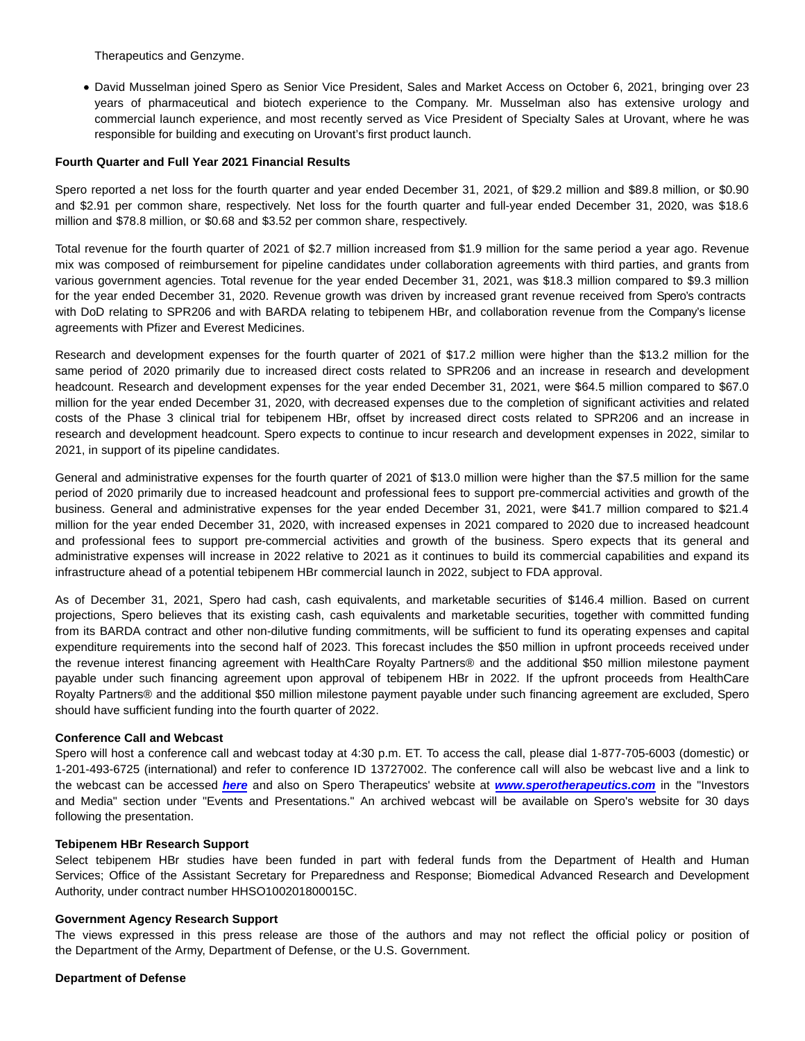Therapeutics and Genzyme.

David Musselman joined Spero as Senior Vice President, Sales and Market Access on October 6, 2021, bringing over 23 years of pharmaceutical and biotech experience to the Company. Mr. Musselman also has extensive urology and commercial launch experience, and most recently served as Vice President of Specialty Sales at Urovant, where he was responsible for building and executing on Urovant's first product launch.

#### **Fourth Quarter and Full Year 2021 Financial Results**

Spero reported a net loss for the fourth quarter and year ended December 31, 2021, of \$29.2 million and \$89.8 million, or \$0.90 and \$2.91 per common share, respectively. Net loss for the fourth quarter and full-year ended December 31, 2020, was \$18.6 million and \$78.8 million, or \$0.68 and \$3.52 per common share, respectively.

Total revenue for the fourth quarter of 2021 of \$2.7 million increased from \$1.9 million for the same period a year ago. Revenue mix was composed of reimbursement for pipeline candidates under collaboration agreements with third parties, and grants from various government agencies. Total revenue for the year ended December 31, 2021, was \$18.3 million compared to \$9.3 million for the year ended December 31, 2020. Revenue growth was driven by increased grant revenue received from Spero's contracts with DoD relating to SPR206 and with BARDA relating to tebipenem HBr, and collaboration revenue from the Company's license agreements with Pfizer and Everest Medicines.

Research and development expenses for the fourth quarter of 2021 of \$17.2 million were higher than the \$13.2 million for the same period of 2020 primarily due to increased direct costs related to SPR206 and an increase in research and development headcount. Research and development expenses for the year ended December 31, 2021, were \$64.5 million compared to \$67.0 million for the year ended December 31, 2020, with decreased expenses due to the completion of significant activities and related costs of the Phase 3 clinical trial for tebipenem HBr, offset by increased direct costs related to SPR206 and an increase in research and development headcount. Spero expects to continue to incur research and development expenses in 2022, similar to 2021, in support of its pipeline candidates.

General and administrative expenses for the fourth quarter of 2021 of \$13.0 million were higher than the \$7.5 million for the same period of 2020 primarily due to increased headcount and professional fees to support pre-commercial activities and growth of the business. General and administrative expenses for the year ended December 31, 2021, were \$41.7 million compared to \$21.4 million for the year ended December 31, 2020, with increased expenses in 2021 compared to 2020 due to increased headcount and professional fees to support pre-commercial activities and growth of the business. Spero expects that its general and administrative expenses will increase in 2022 relative to 2021 as it continues to build its commercial capabilities and expand its infrastructure ahead of a potential tebipenem HBr commercial launch in 2022, subject to FDA approval.

As of December 31, 2021, Spero had cash, cash equivalents, and marketable securities of \$146.4 million. Based on current projections, Spero believes that its existing cash, cash equivalents and marketable securities, together with committed funding from its BARDA contract and other non-dilutive funding commitments, will be sufficient to fund its operating expenses and capital expenditure requirements into the second half of 2023. This forecast includes the \$50 million in upfront proceeds received under the revenue interest financing agreement with HealthCare Royalty Partners® and the additional \$50 million milestone payment payable under such financing agreement upon approval of tebipenem HBr in 2022. If the upfront proceeds from HealthCare Royalty Partners® and the additional \$50 million milestone payment payable under such financing agreement are excluded, Spero should have sufficient funding into the fourth quarter of 2022.

#### **Conference Call and Webcast**

Spero will host a conference call and webcast today at 4:30 p.m. ET. To access the call, please dial 1-877-705-6003 (domestic) or 1-201-493-6725 (international) and refer to conference ID 13727002. The conference call will also be webcast live and a link to the webcast can be accessed **[here](https://www.globenewswire.com/Tracker?data=WRN7ctqd6gUygKS_uqWmlhDMJRJfgEf_7rhVBawuPYydIWWbyOXecqfAqwi2g3J7F42ofsFg43xqyeKgitx4liy8RfClfgX6tQrsMHG6WFw=)** and also on Spero Therapeutics' website at **[www.sperotherapeutics.com](https://www.globenewswire.com/Tracker?data=jGi2hdZash5W6yIKMRa7-NIk4aMJYtMSUIkg3XakVAKO1uZ0JWg-1Ah-CjlDxnvcrMuPtf07_GwOCOjtDOIUjFhp8ZrB9s_vp0NkXo1f2hk=)** in the "Investors and Media" section under "Events and Presentations." An archived webcast will be available on Spero's website for 30 days following the presentation.

#### **Tebipenem HBr Research Support**

Select tebipenem HBr studies have been funded in part with federal funds from the Department of Health and Human Services; Office of the Assistant Secretary for Preparedness and Response; Biomedical Advanced Research and Development Authority, under contract number HHSO100201800015C.

#### **Government Agency Research Support**

The views expressed in this press release are those of the authors and may not reflect the official policy or position of the Department of the Army, Department of Defense, or the U.S. Government.

#### **Department of Defense**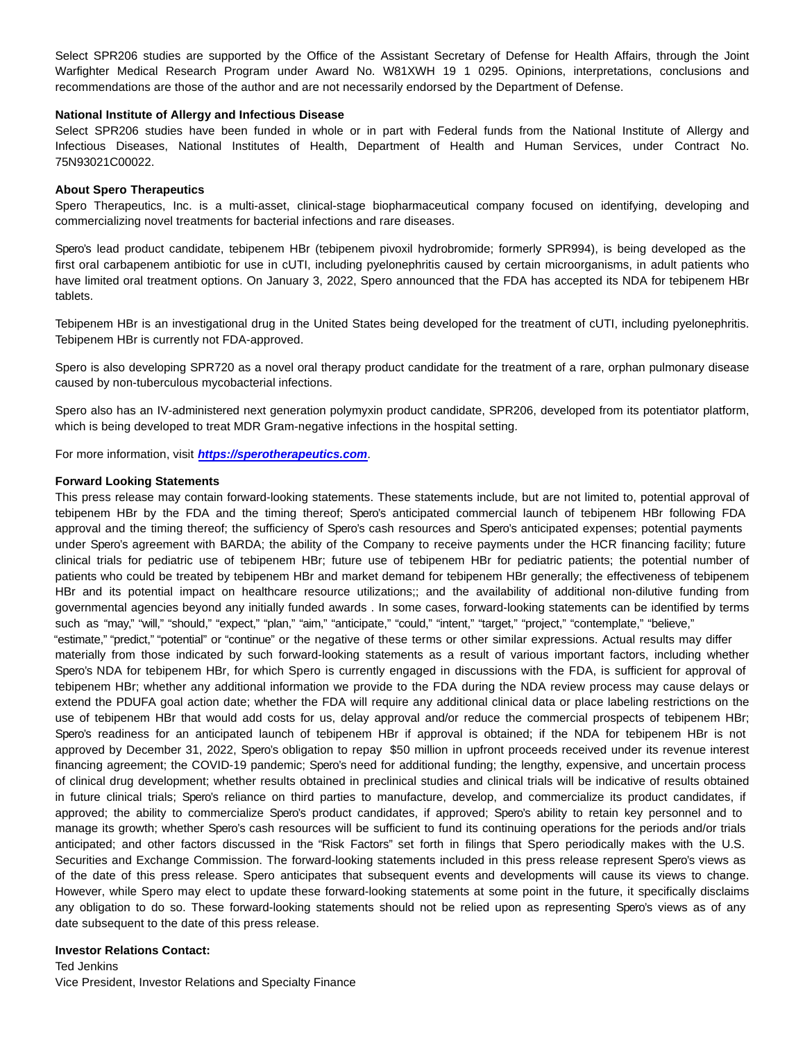Select SPR206 studies are supported by the Office of the Assistant Secretary of Defense for Health Affairs, through the Joint Warfighter Medical Research Program under Award No. W81XWH 19 1 0295. Opinions, interpretations, conclusions and recommendations are those of the author and are not necessarily endorsed by the Department of Defense.

#### **National Institute of Allergy and Infectious Disease**

Select SPR206 studies have been funded in whole or in part with Federal funds from the National Institute of Allergy and Infectious Diseases, National Institutes of Health, Department of Health and Human Services, under Contract No. 75N93021C00022.

#### **About Spero Therapeutics**

Spero Therapeutics, Inc. is a multi-asset, clinical-stage biopharmaceutical company focused on identifying, developing and commercializing novel treatments for bacterial infections and rare diseases.

Spero's lead product candidate, tebipenem HBr (tebipenem pivoxil hydrobromide; formerly SPR994), is being developed as the first oral carbapenem antibiotic for use in cUTI, including pyelonephritis caused by certain microorganisms, in adult patients who have limited oral treatment options. On January 3, 2022, Spero announced that the FDA has accepted its NDA for tebipenem HBr tablets.

Tebipenem HBr is an investigational drug in the United States being developed for the treatment of cUTI, including pyelonephritis. Tebipenem HBr is currently not FDA-approved.

Spero is also developing SPR720 as a novel oral therapy product candidate for the treatment of a rare, orphan pulmonary disease caused by non-tuberculous mycobacterial infections.

Spero also has an IV-administered next generation polymyxin product candidate, SPR206, developed from its potentiator platform, which is being developed to treat MDR Gram-negative infections in the hospital setting.

For more information, visit **[https://sperotherapeutics.com](https://www.globenewswire.com/Tracker?data=nJDHvWaD8aNCbkLmfeleBeGKIdFv0cT09zGxDDhilNcT1Hev0Ul8nkca6CXlHnxILXQxsCx5pNb7epyAL0GKeZfnA9rBZphoonWBZMNjMLaT7NZYvr156IAagAyMbIheoScd_RHFLuW4t4H68Ddcb-ty1MKScZnJNg9dC4vP88otLhrLn1akZWTI8JSXbbUd4kFlMAAHi4fuQaY39zc3ya4AeFJ1_zC8mAQKuTz1eFL11v1VjUdOPnMc1FtnM6vonNMurUUeDSPa8yst6VfxQtPVm4uzTo1B8NgY4O4PyJs=)**.

#### **Forward Looking Statements**

This press release may contain forward-looking statements. These statements include, but are not limited to, potential approval of tebipenem HBr by the FDA and the timing thereof; Spero's anticipated commercial launch of tebipenem HBr following FDA approval and the timing thereof; the sufficiency of Spero's cash resources and Spero's anticipated expenses; potential payments under Spero's agreement with BARDA; the ability of the Company to receive payments under the HCR financing facility; future clinical trials for pediatric use of tebipenem HBr; future use of tebipenem HBr for pediatric patients; the potential number of patients who could be treated by tebipenem HBr and market demand for tebipenem HBr generally; the effectiveness of tebipenem HBr and its potential impact on healthcare resource utilizations;; and the availability of additional non-dilutive funding from governmental agencies beyond any initially funded awards . In some cases, forward-looking statements can be identified by terms such as "may," "will," "should," "expect," "plan," "aim," "anticipate," "could," "intent," "target," "project," "contemplate," "believe," "estimate," "predict," "potential" or "continue" or the negative of these terms or other similar expressions. Actual results may differ materially from those indicated by such forward-looking statements as a result of various important factors, including whether Spero's NDA for tebipenem HBr, for which Spero is currently engaged in discussions with the FDA, is sufficient for approval of tebipenem HBr; whether any additional information we provide to the FDA during the NDA review process may cause delays or extend the PDUFA goal action date; whether the FDA will require any additional clinical data or place labeling restrictions on the use of tebipenem HBr that would add costs for us, delay approval and/or reduce the commercial prospects of tebipenem HBr; Spero's readiness for an anticipated launch of tebipenem HBr if approval is obtained; if the NDA for tebipenem HBr is not approved by December 31, 2022, Spero's obligation to repay \$50 million in upfront proceeds received under its revenue interest financing agreement; the COVID-19 pandemic; Spero's need for additional funding; the lengthy, expensive, and uncertain process of clinical drug development; whether results obtained in preclinical studies and clinical trials will be indicative of results obtained in future clinical trials; Spero's reliance on third parties to manufacture, develop, and commercialize its product candidates, if approved; the ability to commercialize Spero's product candidates, if approved; Spero's ability to retain key personnel and to manage its growth; whether Spero's cash resources will be sufficient to fund its continuing operations for the periods and/or trials anticipated; and other factors discussed in the "Risk Factors" set forth in filings that Spero periodically makes with the U.S. Securities and Exchange Commission. The forward-looking statements included in this press release represent Spero's views as of the date of this press release. Spero anticipates that subsequent events and developments will cause its views to change. However, while Spero may elect to update these forward-looking statements at some point in the future, it specifically disclaims any obligation to do so. These forward-looking statements should not be relied upon as representing Spero's views as of any date subsequent to the date of this press release.

#### **Investor Relations Contact:**

Ted Jenkins Vice President, Investor Relations and Specialty Finance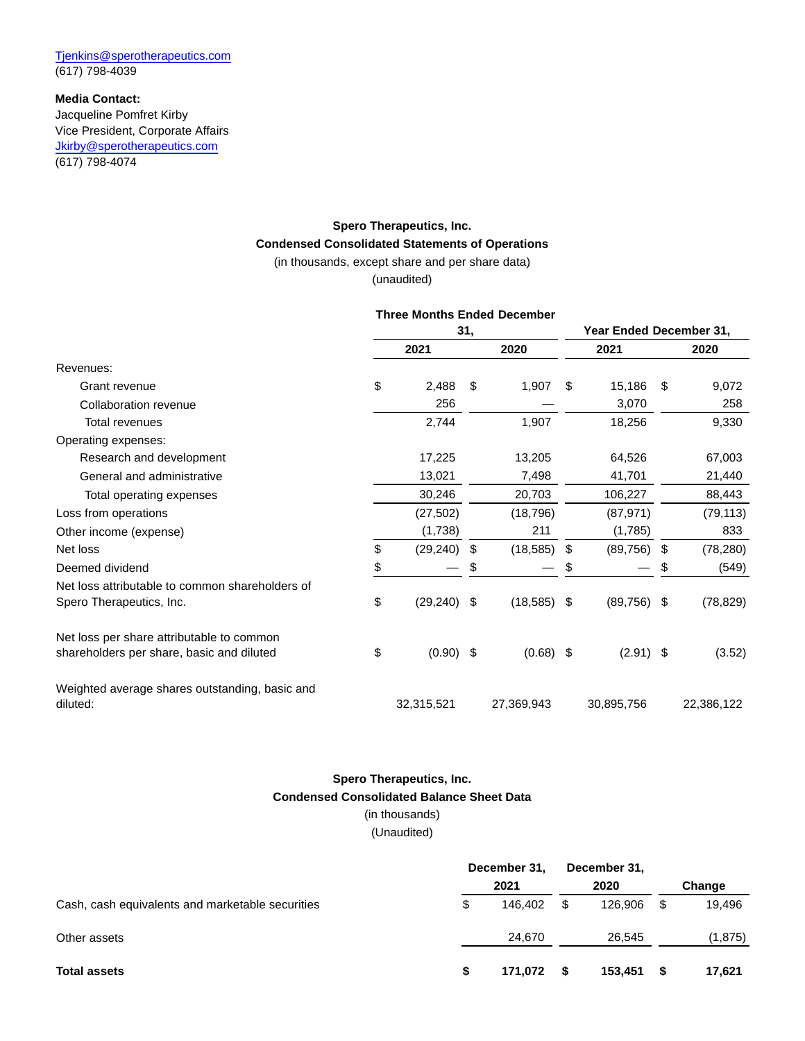### **Media Contact:**

Jacqueline Pomfret Kirby Vice President, Corporate Affairs [Jkirby@sperotherapeutics.com](https://www.globenewswire.com/Tracker?data=5DJgLMV1H4dMgms15j7JC81kbDnaGrIIUiwWmhsPE3lSur_02t9tZbWqAcDAOpNKYMDJy1akcW0jXShFPzmiMd7gUMpTiro5vDsWRQLaoofM0gd1dO-L4IlEHqYo46Po) (617) 798-4074

# **Spero Therapeutics, Inc. Condensed Consolidated Statements of Operations**

(in thousands, except share and per share data)

(unaudited)

#### **Three Months Ended December**

|                                                            | 31, |             |    | Year Ended December 31, |     |               |      |            |
|------------------------------------------------------------|-----|-------------|----|-------------------------|-----|---------------|------|------------|
|                                                            |     | 2021        |    | 2020                    |     | 2021          |      | 2020       |
| Revenues:                                                  |     |             |    |                         |     |               |      |            |
| Grant revenue                                              | \$  | 2,488       | \$ | 1,907                   | \$  | 15,186        | -\$  | 9,072      |
| Collaboration revenue                                      |     | 256         |    |                         |     | 3,070         |      | 258        |
| Total revenues                                             |     | 2,744       |    | 1,907                   |     | 18,256        |      | 9,330      |
| Operating expenses:                                        |     |             |    |                         |     |               |      |            |
| Research and development                                   |     | 17,225      |    | 13,205                  |     | 64,526        |      | 67,003     |
| General and administrative                                 |     | 13,021      |    | 7,498                   |     | 41,701        |      | 21,440     |
| Total operating expenses                                   |     | 30,246      |    | 20,703                  |     | 106,227       |      | 88,443     |
| Loss from operations                                       |     | (27, 502)   |    | (18, 796)               |     | (87, 971)     |      | (79, 113)  |
| Other income (expense)                                     |     | (1,738)     |    | 211                     |     | (1,785)       |      | 833        |
| Net loss                                                   | \$  | (29, 240)   | \$ | (18, 585)               | \$  | (89, 756)     | - \$ | (78, 280)  |
| Deemed dividend                                            | \$  |             | \$ |                         | \$  |               | \$   | (549)      |
| Net loss attributable to common shareholders of            |     |             |    |                         |     |               |      |            |
| Spero Therapeutics, Inc.                                   | \$  | (29, 240)   | S  | (18, 585)               | S   | $(89,756)$ \$ |      | (78, 829)  |
| Net loss per share attributable to common                  |     |             |    |                         |     |               |      |            |
| shareholders per share, basic and diluted                  | \$  | $(0.90)$ \$ |    | (0.68)                  | -\$ | $(2.91)$ \$   |      | (3.52)     |
| Weighted average shares outstanding, basic and<br>diluted: |     | 32,315,521  |    | 27,369,943              |     | 30,895,756    |      | 22,386,122 |

### **Spero Therapeutics, Inc. Condensed Consolidated Balance Sheet Data** (in thousands)

(Unaudited)

|                                                  | December 31, |         | December 31, |         |     |          |
|--------------------------------------------------|--------------|---------|--------------|---------|-----|----------|
|                                                  |              | 2021    |              | 2020    |     | Change   |
| Cash, cash equivalents and marketable securities | \$           | 146.402 |              | 126.906 | -\$ | 19.496   |
| Other assets                                     |              | 24.670  |              | 26.545  |     | (1, 875) |
| <b>Total assets</b>                              | S            | 171.072 | -S           | 153.451 | -\$ | 17,621   |